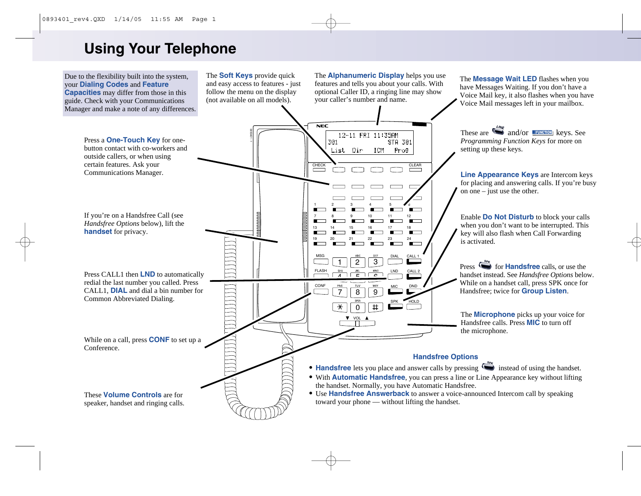# **Using Your Telephone**

Due to the flexibility built into the system, your **Dialing Codes** and **Feature Capacities** may differ from those in this guide. Check with your Communications Manager and make a note of any differences.

The **Soft Keys** provide quick and easy access to features - just follow the menu on the display (not available on all models).

The **Alphanumeric Display** helps you use features and tells you about your calls. With optional Caller ID, a ringing line may show your caller's number and name.

The **Message Wait LED** flashes when you have Messages Waiting. If you don't have a Voice Mail key, it also flashes when you have Voice Mail messages left in your mailbox.

 $NEC$ These are  $\sum_{n=1}^{\infty}$  and/or **unitary** keys. See 1 - 10 Pr. 68 12-11 FRI 11:35AM Press a **One-Touch Key** for one-*Programming Function Keys* for more on 301 STA 301 button contact with co-workers and setting up these keys. List Dir ICM Prog outside callers, or when using certain features. Ask your CHECK CLEAR Communications Manager. **Line Appearance Keys** are Intercom keys for placing and answering calls. If you're busy on one – just use the other. 1 2 3 4 5 *≢* o If you're on a Handsfree Call (see 100000000 Enable **Do Not Disturb** to block your calls 7 8 9 10 11 12 *Handsfree Options* below), lift the when you don't want to be interrupted. This 13 14 15 16 17 18 **handset** for privacy. key will also flash when Call Forwarding 19 20 21 22 23 24 is activated. CALL. MSG DIAL 1 2 3 Press **for Handsfree** calls, or use the FLASH  $\frac{6 \text{ HI}}{4}$ LND CALL 2 Press CALL1 then **LND** to automatically  $\frac{1}{\sqrt{2}}$ handset instead. See *Handsfree Options* below.  $\hat{ }$ redial the last number you called. Press While on a handset call, press SPK once for CONF DND MIC CALL1, **DIAL** and dial a bin number for 7 Handsfree; twice for **Group Listen**.  $\overline{8}$  $\overline{9}$ Common Abbreviated Dialing. SPK HOLD  $\overline{\ast}$  $\overline{0}$  $\overline{\mathbf{H}}$ The **Microphone** picks up your voice for  $\overline{\mathbf{v}}$  vol Handsfree calls. Press **MIC** to turn off the microphone. While on a call, press **CONF** to set up a Conference. **Handsfree Options** • **Handsfree** lets you place and answer calls by pressing instead of using the handset. • With **Automatic Handsfree**, you can press a line or Line Appearance key without lifting the handset. Normally, you have Automatic Handsfree. • Use **Handsfree Answerback** to answer a voice-announced Intercom call by speaking These **Volume Controls** are for toward your phone — without lifting the handset. speaker, handset and ringing calls.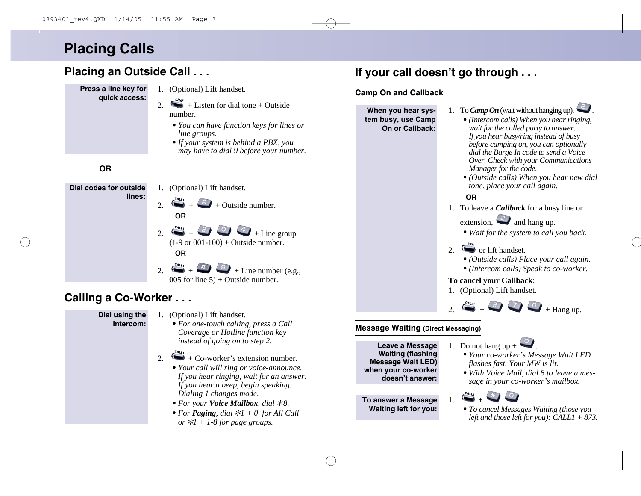# **Placing Calls**

# **Placing an Outside Call . . .**

- **Press a line key for quick access:**
- 1. (Optional) Lift handset.
- 2.  $\frac{L_{\text{L,V}}}{L}$  + Listen for dial tone + Outside number.
	- *• You can have function keys for lines or line groups.*
	- *•If your system is behind a PBX, you may have to dial 9 before your number.*

## **OR**



## **Calling a Co-Worker . . .**

#### **Dial using the Intercom:**

- 1. (Optional) Lift handset.
	- *• For one-touch calling, press a Call Coverage or Hotline function key instead of going on to step 2.*

#### 2.  $\leftrightarrow$  + Co-worker's extension number.

- *• Your call will ring or voice-announce. If you hear ringing, wait for an answer. If you hear a beep, begin speaking. Dialing 1 changes mode.*
- *• For your Voice Mailbox, dial*  ✻*8.*
- *• For Paging, dial*  ✻*1 + 0 for All Call or*  ✻*1 + 1-8 for page groups.*

# **If your call doesn't go through . . .**

#### **Camp On and Callback**



#### **Message Waiting (Direct Messaging)**

**Leave a Message Waiting (flashing Message Wait LED) when your co-worker doesn't answer:**

**To answer a Message Waiting left for you:**

- 1. Do not hang up  $+$ 
	- *• Your co-worker's Message Wait LED flashes fast. Your MW is lit.*
	- *• With Voice Mail, dial 8 to leave a message in your co-worker's mailbox.*



*• To cancel Messages Waiting (those you left and those left for you): CALL1 + 873.*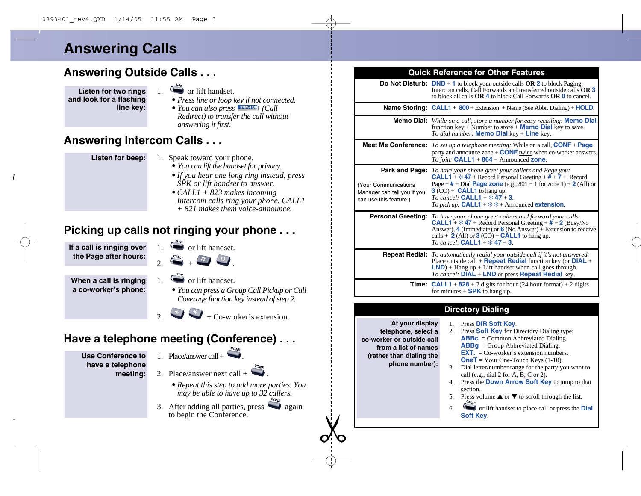# **Answering Calls**

# **Answering Outside Calls . . .**

**Listen for two rings and look for a flashing line key:**

- $\overline{\mathcal{L}}$  or lift handset.
- *• Press line or loop key if not connected.*
- *• You can also press (Call Redirect) to transfer the call without answering it first.*

## **Answering Intercom Calls . . .**

**Listen for beep:**

- 1. Speak toward your phone.
	- *• You can lift the handset for privacy.*
	- *•If you hear one long ring instead, press SPK or lift handset to answer.*
	- *• CALL1 + 823 makes incoming Intercom calls ring your phone. CALL1 + 821 makes them voice-announce.*

## **Picking up calls not ringing your phone . . .**

**If a call is ringing over the Page after hours:**

 $\sum_{n=1}^{\text{SPR}}$  or lift handset.  $2\frac{c_{4u_1}}{t} + \frac{h}{u}$ 

**When a call is ringing a co-worker's phone:**

- 1.  $\sum_{n=1}^{s_{\text{F}}(k)}$  or lift handset.
	- *• You can press a Group Call Pickup or Call Coverage function key instead of step 2.*

 $\overrightarrow{x}$  + Co-worker's extension.

# **Have a telephone meeting (Conference) . . .**

- **Use Conference to have a telephone meeting:**
- 1. Place/answer call  $+ \bullet$
- 2. Place/answer next call +
	- *• Repeat this step to add more parties. You may be able to have up to 32 callers.*
- 3. After adding all parties, press  $\Box$  again to begin the Conference.

#### **Quick Reference for Other Features**

|                                                                                                | Do Not Disturb: $DND + 1$ to block your outside calls OR 2 to block Paging,<br>Intercom calls. Call Forwards and transferred outside calls OR 3<br>to block all calls <b>OR 4</b> to block Call Forwards <b>OR 0</b> to cancel.                                                                                                                |
|------------------------------------------------------------------------------------------------|------------------------------------------------------------------------------------------------------------------------------------------------------------------------------------------------------------------------------------------------------------------------------------------------------------------------------------------------|
|                                                                                                | <b>Name Storing: CALL1 + 800 +</b> Extension + Name (See Abbr. Dialing) + <b>HOLD</b> .                                                                                                                                                                                                                                                        |
|                                                                                                | <b>Memo Dial:</b> While on a call, store a number for easy recalling: <b>Memo Dial</b><br>function key + Number to store + <b>Memo Dial</b> key to save.<br>To dial number: <b>Memo Dial</b> key + <b>Line</b> key.                                                                                                                            |
|                                                                                                | <b>Meet Me Conference:</b> To set up a telephone meeting: While on a call, $CONF + Page$<br>party and announce zone $+$ CONF twice when co-worker answers.<br>To join: $CALL1 + 864 + Announced zone$ .                                                                                                                                        |
| Park and Page:<br>Your Communications<br>Manager can tell you if you<br>can use this feature.) | To have your phone greet your callers and Page you:<br><b>CALL1</b> + $*$ 47 + Record Personal Greeting + $#$ + 7 + Record<br>Page + $#$ + Dial <b>Page zone</b> (e.g., 801 + 1 for zone 1) + 2 (All) or<br>$3$ (CO) + <b>CALL1</b> to hang up.<br>To cancel: <b>CALL1</b> + $*$ 47 + 3.<br>To pick up: CALL1 + $*$ $*$ + Announced extension. |
|                                                                                                | <b>Personal Greeting:</b> To have your phone greet callers and forward your calls:<br><b>CALL1</b> + $*$ 47 + Record Personal Greeting + $# + 2$ (Busy/No<br>Answer), 4 (Immediate) or $6$ (No Answer) + Extension to receive<br>calls $+ 2$ (All) or $3$ (CO) + <b>CALL1</b> to hang up.<br>To cancel: $CALL1 + 47 + 3$ .                     |
|                                                                                                | <b>Repeat Redial:</b> To automatically redial your outside call if it's not answered:<br>Place outside call + <b>Repeat Redial</b> function key (or $DIAL +$<br>$LND$ ) + Hang up + Lift handset when call goes through.<br><i>To cancel:</i> DIAL + LND or press <b>Repeat Redial</b> key.                                                    |
|                                                                                                | <b>Time:</b> CALL1 + $828 + 2$ digits for hour (24 hour format) + 2 digits<br>for minutes $+$ <b>SPK</b> to hang up.                                                                                                                                                                                                                           |
|                                                                                                |                                                                                                                                                                                                                                                                                                                                                |

#### **Directory Dialing**

**At your display telephone, select a co-worker or outside call from a list of names (rather than dialing the phone number):**

- 1. Press **DIR Soft Key**.
- 2. Press **Soft Key** for Directory Dialing type: **ABBc** = Common Abbreviated Dialing. **ABBg** = Group Abbreviated Dialing. **EXT.** = Co-worker's extension numbers. **OneT** = Your One-Touch Keys (1-10).
- 3. Dial letter/number range for the party you want to call (e.g., dial 2 for A, B, C or 2).
- 4. Press the **Down Arrow Soft Key** to jump to that section.
- 5. Press volume  $\triangle$  or  $\nabla$  to scroll through the list.
- 6. or lift handset to place call or press the **Dial Soft Key**.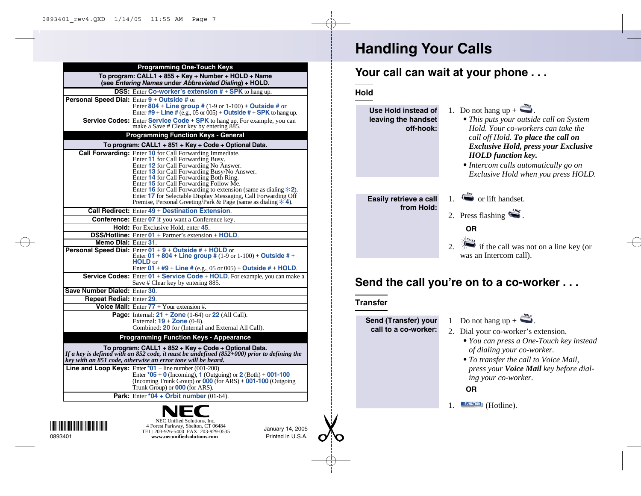| <b>Programming One-Touch Keys</b>                                                                              |                                                                                                                                                                                                                     |  |  |
|----------------------------------------------------------------------------------------------------------------|---------------------------------------------------------------------------------------------------------------------------------------------------------------------------------------------------------------------|--|--|
| To program: CALL1 + 855 + Key + Number + HOLD + Name<br>(see Entering Names under Abbreviated Dialing) + HOLD. |                                                                                                                                                                                                                     |  |  |
|                                                                                                                | <b>DSS:</b> Enter Co-worker's extension $# + SPK$ to hang up.                                                                                                                                                       |  |  |
|                                                                                                                | Personal Speed Dial: Enter 9 + Outside # or                                                                                                                                                                         |  |  |
|                                                                                                                | Enter 804 + Line group # $(1-9 \text{ or } 1-100)$ + Outside # or                                                                                                                                                   |  |  |
|                                                                                                                | Enter $#9 +$ Line # (e.g., 05 or 005) + Outside # + SPK to hang up.                                                                                                                                                 |  |  |
|                                                                                                                | Service Codes: Enter Service Code + SPK to hang up. For example, you can                                                                                                                                            |  |  |
|                                                                                                                | make a Save # Clear key by entering 885.                                                                                                                                                                            |  |  |
| <b>Programming Function Keys - General</b>                                                                     |                                                                                                                                                                                                                     |  |  |
| To program: CALL1 + 851 + Key + Code + Optional Data.                                                          |                                                                                                                                                                                                                     |  |  |
|                                                                                                                | <b>Call Forwarding:</b> Enter 10 for Call Forwarding Immediate.                                                                                                                                                     |  |  |
|                                                                                                                | Enter 11 for Call Forwarding Busy.                                                                                                                                                                                  |  |  |
|                                                                                                                | Enter 12 for Call Forwarding No Answer.                                                                                                                                                                             |  |  |
|                                                                                                                | Enter 13 for Call Forwarding Busy/No Answer.                                                                                                                                                                        |  |  |
|                                                                                                                | Enter 14 for Call Forwarding Both Ring.                                                                                                                                                                             |  |  |
|                                                                                                                | Enter 15 for Call Forwarding Follow Me.<br>Enter 16 for Call Forwarding to extension (same as dialing $\angle 2$ ).                                                                                                 |  |  |
|                                                                                                                | Enter 17 for Selectable Display Messaging, Call Forwarding Off                                                                                                                                                      |  |  |
|                                                                                                                | Premise, Personal Greeting/Park & Page (same as dialing $*$ 4).                                                                                                                                                     |  |  |
|                                                                                                                | <b>Call Redirect:</b> Enter $49 +$ Destination Extension.                                                                                                                                                           |  |  |
|                                                                                                                | <b>Conference:</b> Enter 07 if you want a Conference key.                                                                                                                                                           |  |  |
|                                                                                                                | <b>Hold:</b> For Exclusive Hold, enter 45.                                                                                                                                                                          |  |  |
|                                                                                                                | <b>DSS/Hotline:</b> Enter 01 + Partner's extension + HOLD.                                                                                                                                                          |  |  |
| Memo Dial: Enter 31.                                                                                           |                                                                                                                                                                                                                     |  |  |
|                                                                                                                | <b>Personal Speed Dial:</b> Enter $01 + 9 + 0$ utside # + HOLD or                                                                                                                                                   |  |  |
|                                                                                                                | Enter 01 + 804 + Line group # $(1-9 \text{ or } 1-100)$ + Outside # +                                                                                                                                               |  |  |
|                                                                                                                | <b>HOLD</b> or                                                                                                                                                                                                      |  |  |
|                                                                                                                | Enter $01 + #9 + Line # (e.g., 05 or 005) + Outside # + HOLD.$                                                                                                                                                      |  |  |
|                                                                                                                | <b>Service Codes:</b> Enter 01 + Service Code + HOLD. For example, you can make a                                                                                                                                   |  |  |
|                                                                                                                | Save # Clear key by entering 885.                                                                                                                                                                                   |  |  |
| Save Number Dialed: Enter 30.                                                                                  |                                                                                                                                                                                                                     |  |  |
| <b>Repeat Redial: Enter 29.</b>                                                                                |                                                                                                                                                                                                                     |  |  |
|                                                                                                                | Voice Mail: Enter $77 +$ Your extension #.                                                                                                                                                                          |  |  |
|                                                                                                                | Page: Internal: $21 + \text{Zone}$ (1-64) or 22 (All Call).                                                                                                                                                         |  |  |
|                                                                                                                | External: $19 + \text{Zone } (0-8)$ .                                                                                                                                                                               |  |  |
|                                                                                                                | Combined: 20 for (Internal and External All Call).                                                                                                                                                                  |  |  |
|                                                                                                                | <b>Programming Function Keys - Appearance</b>                                                                                                                                                                       |  |  |
|                                                                                                                |                                                                                                                                                                                                                     |  |  |
|                                                                                                                | To program: CALL1 + 852 + Key + Code + Optional Data.<br>If a key is defined with an 852 code, it must be undefined (852+000) prior to defining the<br>key with an 851 code, otherwise an error tone will be heard. |  |  |
|                                                                                                                | Line and Loop Keys: Enter $*01$ + line number (001-200)                                                                                                                                                             |  |  |
|                                                                                                                | Enter $*05 + 0$ (Incoming), 1 (Outgoing) or 2 (Both) + 001-100                                                                                                                                                      |  |  |
|                                                                                                                | (Incoming Trunk Group) or $\overline{000}$ (for ARS) + $\overline{001-100}$ (Outgoing                                                                                                                               |  |  |
|                                                                                                                | Trunk Group) or <b>000</b> (for ARS).                                                                                                                                                                               |  |  |
|                                                                                                                | Park: Enter *04 + Orbit number $(01-64)$ .                                                                                                                                                                          |  |  |
|                                                                                                                |                                                                                                                                                                                                                     |  |  |
|                                                                                                                |                                                                                                                                                                                                                     |  |  |
|                                                                                                                | NEC Unified Solutions, Inc.                                                                                                                                                                                         |  |  |
| <u> Harris Harris San Barat III (</u>                                                                          | 4 Forest Parkway, Shelton, CT 06484                                                                                                                                                                                 |  |  |
|                                                                                                                | January 14, 2005<br>TEL: 203-926-5400 FAX: 203-929-0535                                                                                                                                                             |  |  |

Printed in U.S.A.

0893401 **www.necunifiedsolutions.com**

# **Handling Your Calls**

## **Your call can wait at your phone . . .**

**Hold**

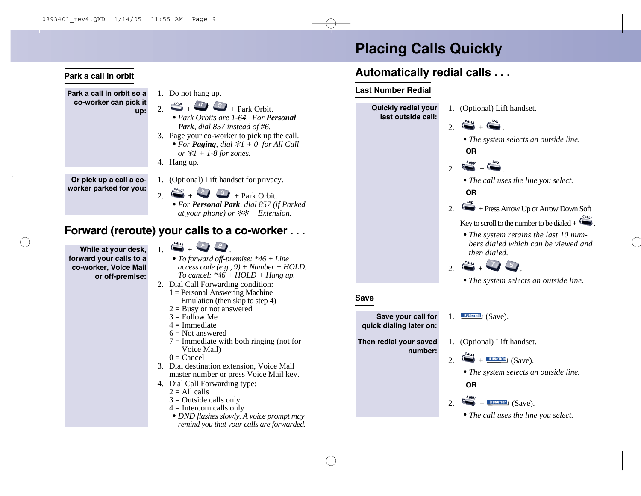# **Placing Calls Quickly**

# **Automatically redial calls . . .**

#### **Last Number Redial**



**Park a call in orbit so a co-worker can pick it up:**

**Park a call in orbit**

- 1. Do not hang up. 2.  $\stackrel{\text{Hence}}{\longrightarrow} + \stackrel{\text{Lip}}{\longrightarrow} +$  Park Orbit.
	- *• Park Orbits are 1-64. For Personal Park, dial 857 instead of #6.*
- 3. Page your co-worker to pick up the call. *• For Paging, dial* ✻*1 + 0 for All Call or* ✻*1 + 1-8 for zones.*
- 4. Hang up.

**Or pick up a call a coworker parked for you:**

- 1. (Optional) Lift handset for privacy.
- 2. + + Park Orbit.
	- *• For Personal Park, dial 857 (if Parked at your phone) or* ✻✻ *+ Extension.*

## **Forward (reroute) your calls to a co-worker . . .**

**While at your desk, forward your calls to a co-worker, Voice Mail or off-premise:**

- $\sum_{i=1}^{n}$
- *• To forward off-premise: \*46 + Line access code (e.g., 9) + Number + HOLD. To cancel: \*46 + HOLD + Hang up.*
- 2. Dial Call Forwarding condition:
	- 1 = Personal Answering Machine Emulation (then skip to step 4)
	- $2 =$ Busy or not answered
	- $3 =$ Follow Me
	- $4 =$ Immediate
	- $6 = Not$  answered
	- $7 =$  Immediate with both ringing (not for Voice Mail)
	- $0 =$ Cancel
- 3. Dial destination extension, Voice Mail master number or press Voice Mail key.
- 4. Dial Call Forwarding type:
	- $2 =$  All calls
	- $3$  = Outside calls only
	- $4 =$ Intercom calls only
	- *• DND flashes slowly. A voice prompt may remind you that your calls are forwarded.*